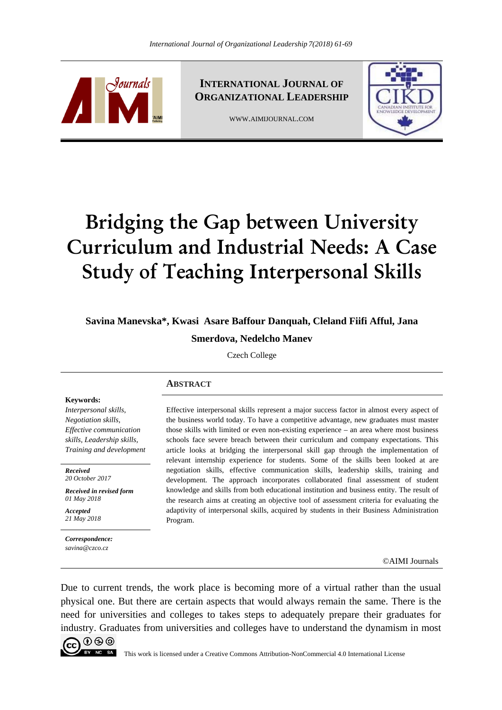

**INTERNATIONAL JOURNAL OF ORGANIZATIONAL LEADERSHIP**

WWW.AIMIJOURNAL.COM



# **Bridging the Gap between University Curriculum and Industrial Needs: A Case Study of Teaching Interpersonal Skills**

**Savina Manevska\*, Kwasi Asare Baffour Danquah, Cleland Fiifi Afful, Jana** 

**Smerdova, Nedelcho Manev** 

Czech College

## **ABSTRACT**

#### **Keywords:**

*Interpersonal skills, Negotiation skills, Effective communication skills, Leadership skills, Training and development*

*Received 20 October 2017* 

*Received in revised form 01 May 2018* 

*Accepted 21 May 2018*

*Correspondence: savina@czco.cz* 

Effective interpersonal skills represent a major success factor in almost every aspect of the business world today. To have a competitive advantage, new graduates must master those skills with limited or even non-existing experience – an area where most business schools face severe breach between their curriculum and company expectations. This article looks at bridging the interpersonal skill gap through the implementation of relevant internship experience for students. Some of the skills been looked at are negotiation skills, effective communication skills, leadership skills, training and development*.* The approach incorporates collaborated final assessment of student knowledge and skills from both educational institution and business entity. The result of the research aims at creating an objective tool of assessment criteria for evaluating the adaptivity of interpersonal skills, acquired by students in their Business Administration Program.

©AIMI Journals

Due to current trends, the work place is becoming more of a virtual rather than the usual physical one. But there are certain aspects that would always remain the same. There is the need for universities and colleges to takes steps to adequately prepare their graduates for industry. Graduates from universities and colleges have to understand the dynamism in most

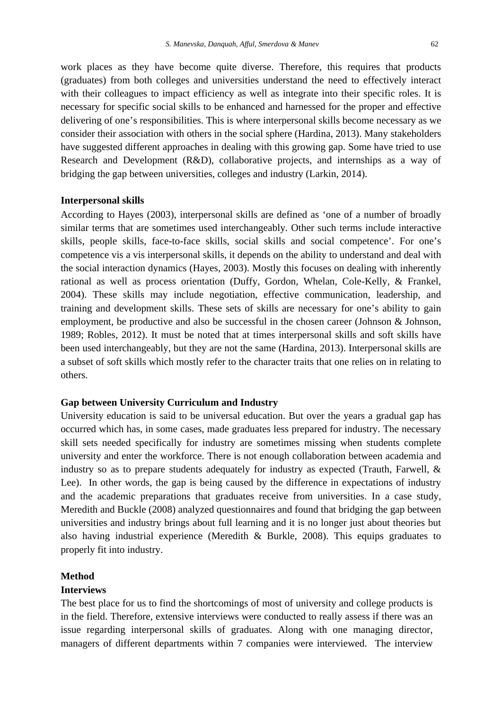work places as they have become quite diverse. Therefore, this requires that products (graduates) from both colleges and universities understand the need to effectively interact with their colleagues to impact efficiency as well as integrate into their specific roles. It is necessary for specific social skills to be enhanced and harnessed for the proper and effective delivering of one's responsibilities. This is where interpersonal skills become necessary as we consider their association with others in the social sphere (Hardina, 2013). Many stakeholders have suggested different approaches in dealing with this growing gap. Some have tried to use Research and Development (R&D), collaborative projects, and internships as a way of bridging the gap between universities, colleges and industry (Larkin, 2014).

#### **Interpersonal skills**

According to Hayes (2003), interpersonal skills are defined as 'one of a number of broadly similar terms that are sometimes used interchangeably. Other such terms include interactive skills, people skills, face-to-face skills, social skills and social competence'. For one's competence vis a vis interpersonal skills, it depends on the ability to understand and deal with the social interaction dynamics (Hayes, 2003). Mostly this focuses on dealing with inherently rational as well as process orientation (Duffy, Gordon, Whelan, Cole-Kelly, & Frankel, 2004). These skills may include negotiation, effective communication, leadership, and training and development skills. These sets of skills are necessary for one's ability to gain employment, be productive and also be successful in the chosen career (Johnson & Johnson, 1989; Robles, 2012). It must be noted that at times interpersonal skills and soft skills have been used interchangeably, but they are not the same (Hardina, 2013). Interpersonal skills are a subset of soft skills which mostly refer to the character traits that one relies on in relating to others.

## **Gap between University Curriculum and Industry**

University education is said to be universal education. But over the years a gradual gap has occurred which has, in some cases, made graduates less prepared for industry. The necessary skill sets needed specifically for industry are sometimes missing when students complete university and enter the workforce. There is not enough collaboration between academia and industry so as to prepare students adequately for industry as expected (Trauth, Farwell, & Lee). In other words, the gap is being caused by the difference in expectations of industry and the academic preparations that graduates receive from universities. In a case study, Meredith and Buckle (2008) analyzed questionnaires and found that bridging the gap between universities and industry brings about full learning and it is no longer just about theories but also having industrial experience (Meredith & Burkle, 2008). This equips graduates to properly fit into industry.

## **Method**

#### **Interviews**

The best place for us to find the shortcomings of most of university and college products is in the field. Therefore, extensive interviews were conducted to really assess if there was an issue regarding interpersonal skills of graduates. Along with one managing director, managers of different departments within 7 companies were interviewed. The interview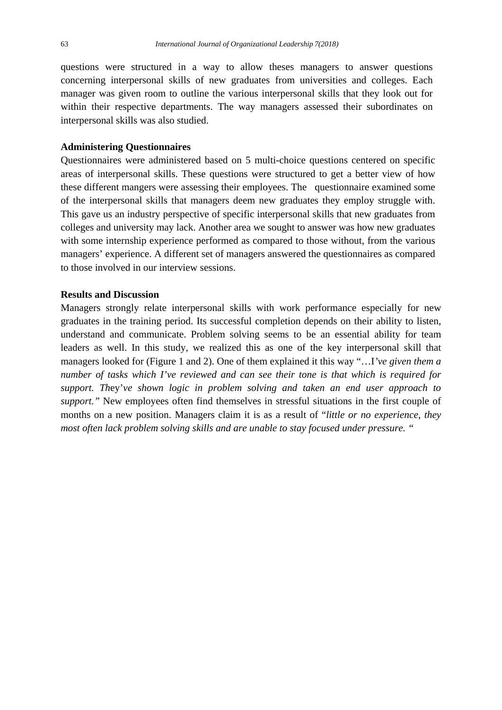questions were structured in a way to allow theses managers to answer questions concerning interpersonal skills of new graduates from universities and colleges. Each manager was given room to outline the various interpersonal skills that they look out for within their respective departments. The way managers assessed their subordinates on interpersonal skills was also studied.

## **Administering Questionnaires**

Questionnaires were administered based on 5 multi-choice questions centered on specific areas of interpersonal skills. These questions were structured to get a better view of how these different mangers were assessing their employees. The questionnaire examined some of the interpersonal skills that managers deem new graduates they employ struggle with. This gave us an industry perspective of specific interpersonal skills that new graduates from colleges and university may lack. Another area we sought to answer was how new graduates with some internship experience performed as compared to those without, from the various managers' experience. A different set of managers answered the questionnaires as compared to those involved in our interview sessions.

## **Results and Discussion**

Managers strongly relate interpersonal skills with work performance especially for new graduates in the training period. Its successful completion depends on their ability to listen, understand and communicate. Problem solving seems to be an essential ability for team leaders as well. In this study, we realized this as one of the key interpersonal skill that managers looked for (Figure 1 and 2). One of them explained it this way "…I*'ve given them a number of tasks which I've reviewed and can see their tone is that which is required for support. Th*ey'*ve shown logic in problem solving and taken an end user approach to support."* New employees often find themselves in stressful situations in the first couple of months on a new position. Managers claim it is as a result of "*little or no experience, they most often lack problem solving skills and are unable to stay focused under pressure. "*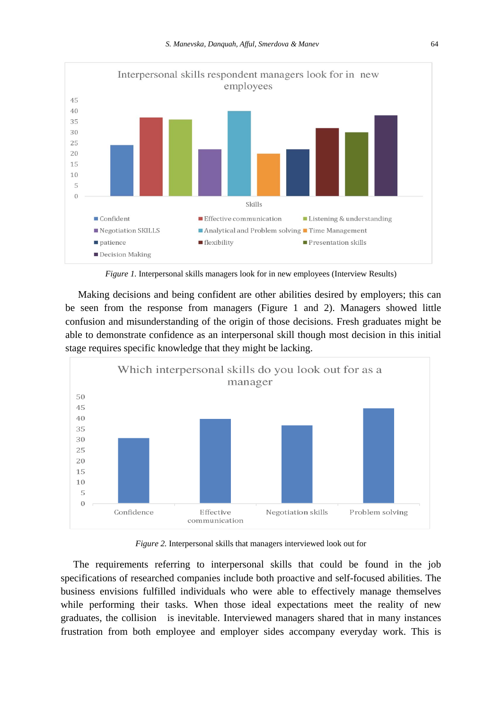

*Figure 1.* Interpersonal skills managers look for in new employees (Interview Results)

 Making decisions and being confident are other abilities desired by employers; this can be seen from the response from managers (Figure 1 and 2). Managers showed little confusion and misunderstanding of the origin of those decisions. Fresh graduates might be able to demonstrate confidence as an interpersonal skill though most decision in this initial stage requires specific knowledge that they might be lacking.



*Figure 2.* Interpersonal skills that managers interviewed look out for

 The requirements referring to interpersonal skills that could be found in the job specifications of researched companies include both proactive and self-focused abilities. The business envisions fulfilled individuals who were able to effectively manage themselves while performing their tasks. When those ideal expectations meet the reality of new graduates, the collision is inevitable. Interviewed managers shared that in many instances frustration from both employee and employer sides accompany everyday work. This is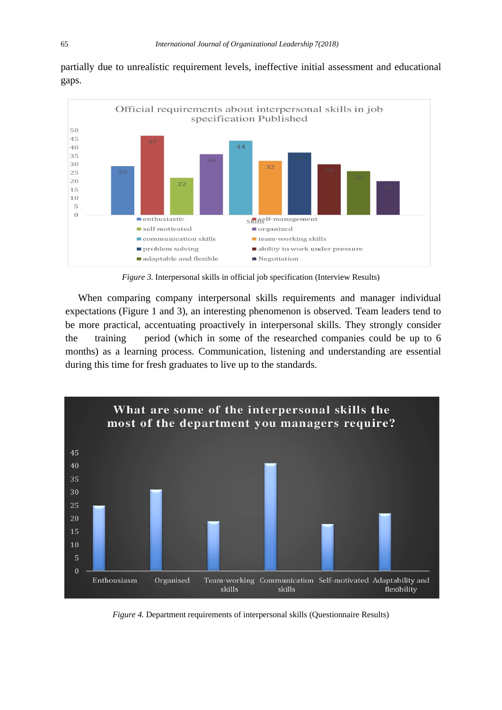partially due to unrealistic requirement levels, ineffective initial assessment and educational gaps.



*Figure 3.* Interpersonal skills in official job specification (Interview Results)

 When comparing company interpersonal skills requirements and manager individual expectations (Figure 1 and 3), an interesting phenomenon is observed. Team leaders tend to be more practical, accentuating proactively in interpersonal skills. They strongly consider the training period (which in some of the researched companies could be up to 6 months) as a learning process. Communication, listening and understanding are essential during this time for fresh graduates to live up to the standards.



*Figure 4.* Department requirements of interpersonal skills (Questionnaire Results)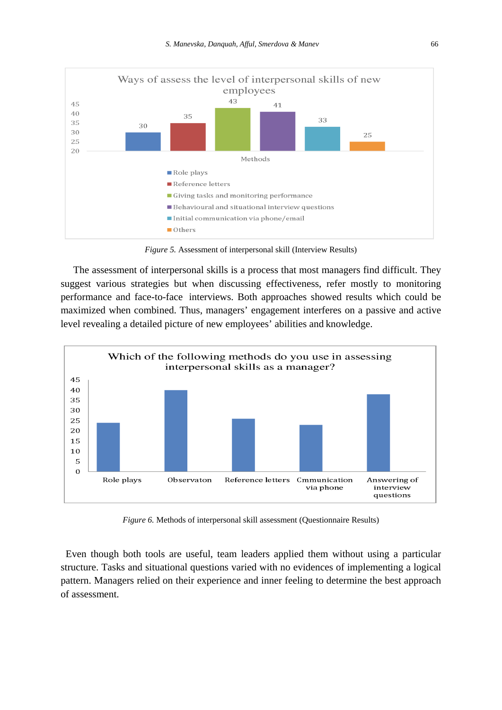

*Figure 5.* Assessment of interpersonal skill (Interview Results)

 The assessment of interpersonal skills is a process that most managers find difficult. They suggest various strategies but when discussing effectiveness, refer mostly to monitoring performance and face-to-face interviews. Both approaches showed results which could be maximized when combined. Thus, managers' engagement interferes on a passive and active level revealing a detailed picture of new employees' abilities and knowledge.



*Figure 6.* Methods of interpersonal skill assessment (Questionnaire Results)

 Even though both tools are useful, team leaders applied them without using a particular structure. Tasks and situational questions varied with no evidences of implementing a logical pattern. Managers relied on their experience and inner feeling to determine the best approach of assessment.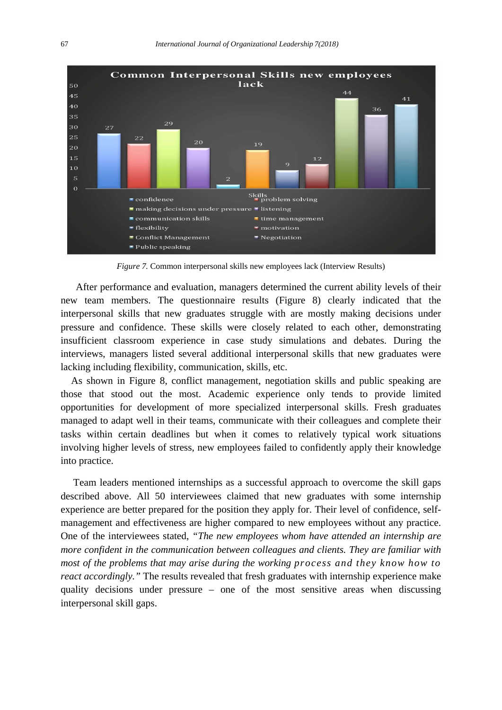

*Figure 7.* Common interpersonal skills new employees lack (Interview Results)

 After performance and evaluation, managers determined the current ability levels of their new team members. The questionnaire results (Figure 8) clearly indicated that the interpersonal skills that new graduates struggle with are mostly making decisions under pressure and confidence. These skills were closely related to each other, demonstrating insufficient classroom experience in case study simulations and debates. During the interviews, managers listed several additional interpersonal skills that new graduates were lacking including flexibility, communication, skills, etc.

 As shown in Figure 8, conflict management, negotiation skills and public speaking are those that stood out the most. Academic experience only tends to provide limited opportunities for development of more specialized interpersonal skills. Fresh graduates managed to adapt well in their teams, communicate with their colleagues and complete their tasks within certain deadlines but when it comes to relatively typical work situations involving higher levels of stress, new employees failed to confidently apply their knowledge into practice.

 Team leaders mentioned internships as a successful approach to overcome the skill gaps described above. All 50 interviewees claimed that new graduates with some internship experience are better prepared for the position they apply for. Their level of confidence, selfmanagement and effectiveness are higher compared to new employees without any practice. One of the interviewees stated, *"The new employees whom have attended an internship are more confident in the communication between colleagues and clients. They are familiar with most of the problems that may arise during the working process and they know how to react accordingly."* The results revealed that fresh graduates with internship experience make quality decisions under pressure – one of the most sensitive areas when discussing interpersonal skill gaps.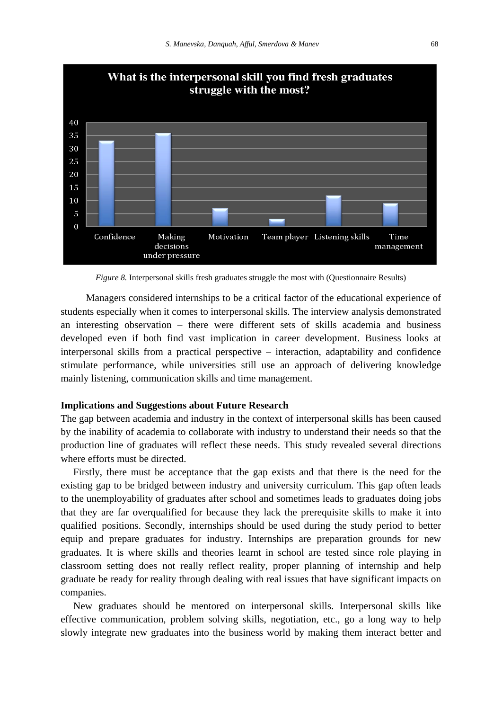

*Figure 8.* Interpersonal skills fresh graduates struggle the most with (Questionnaire Results)

 Managers considered internships to be a critical factor of the educational experience of students especially when it comes to interpersonal skills. The interview analysis demonstrated an interesting observation – there were different sets of skills academia and business developed even if both find vast implication in career development. Business looks at interpersonal skills from a practical perspective – interaction, adaptability and confidence stimulate performance, while universities still use an approach of delivering knowledge mainly listening, communication skills and time management.

## **Implications and Suggestions about Future Research**

The gap between academia and industry in the context of interpersonal skills has been caused by the inability of academia to collaborate with industry to understand their needs so that the production line of graduates will reflect these needs. This study revealed several directions where efforts must be directed.

 Firstly, there must be acceptance that the gap exists and that there is the need for the existing gap to be bridged between industry and university curriculum. This gap often leads to the unemployability of graduates after school and sometimes leads to graduates doing jobs that they are far overqualified for because they lack the prerequisite skills to make it into qualified positions. Secondly, internships should be used during the study period to better equip and prepare graduates for industry. Internships are preparation grounds for new graduates. It is where skills and theories learnt in school are tested since role playing in classroom setting does not really reflect reality, proper planning of internship and help graduate be ready for reality through dealing with real issues that have significant impacts on companies.

 New graduates should be mentored on interpersonal skills. Interpersonal skills like effective communication, problem solving skills, negotiation, etc., go a long way to help slowly integrate new graduates into the business world by making them interact better and